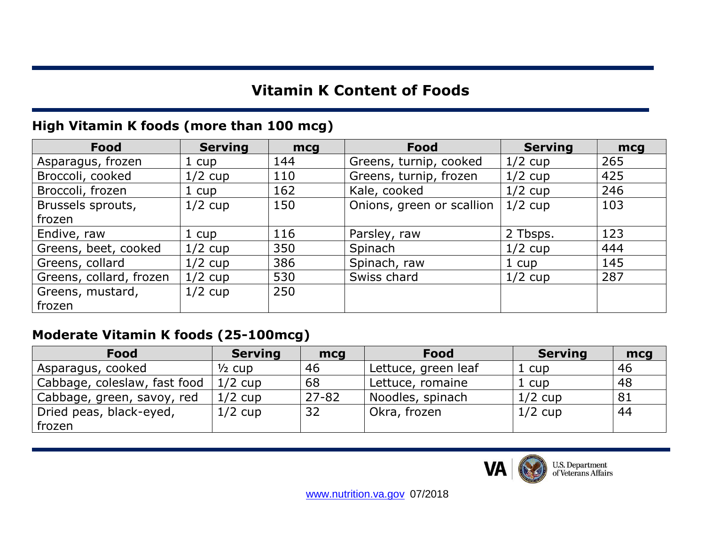# **Vitamin K Content of Foods**

### **High Vitamin K foods (more than 100 mcg)**

| <b>Food</b>             | <b>Serving</b> | mcg | Food                      | <b>Serving</b> | mcg |
|-------------------------|----------------|-----|---------------------------|----------------|-----|
| Asparagus, frozen       | 1 cup          | 144 | Greens, turnip, cooked    | $1/2$ cup      | 265 |
| Broccoli, cooked        | $1/2$ cup      | 110 | Greens, turnip, frozen    | $1/2$ cup      | 425 |
| Broccoli, frozen        | 1 cup          | 162 | Kale, cooked              | $1/2$ cup      | 246 |
| Brussels sprouts,       | $1/2$ cup      | 150 | Onions, green or scallion | $1/2$ cup      | 103 |
| frozen                  |                |     |                           |                |     |
| Endive, raw             | 1 cup          | 116 | Parsley, raw              | 2 Tbsps.       | 123 |
| Greens, beet, cooked    | $1/2$ cup      | 350 | Spinach                   | $1/2$ cup      | 444 |
| Greens, collard         | $1/2$ cup      | 386 | Spinach, raw              | 1 cup          | 145 |
| Greens, collard, frozen | $1/2$ cup      | 530 | Swiss chard               | $1/2$ cup      | 287 |
| Greens, mustard,        | $1/2$ cup      | 250 |                           |                |     |
| frozen                  |                |     |                           |                |     |

#### **Moderate Vitamin K foods (25-100mcg)**

| <b>Food</b>                  | <b>Serving</b>    | mcg       | <b>Food</b>         | <b>Serving</b> | mcg |
|------------------------------|-------------------|-----------|---------------------|----------------|-----|
| Asparagus, cooked            | $\frac{1}{2}$ cup | 46        | Lettuce, green leaf | 1 cup          | 46  |
| Cabbage, coleslaw, fast food | $1/2$ cup         | 68        | Lettuce, romaine    | 1 cup          | 48  |
| Cabbage, green, savoy, red   | $1/2$ cup         | $27 - 82$ | Noodles, spinach    | $1/2$ cup      | 81  |
| Dried peas, black-eyed,      | $1/2$ cup         | 32        | Okra, frozen        | $1/2$ cup      | 44  |
| frozen                       |                   |           |                     |                |     |



U.S. Department<br>of Veterans Affairs

[www.nutrition.va.gov](http://www.nutrition.va.gov/) 07/2018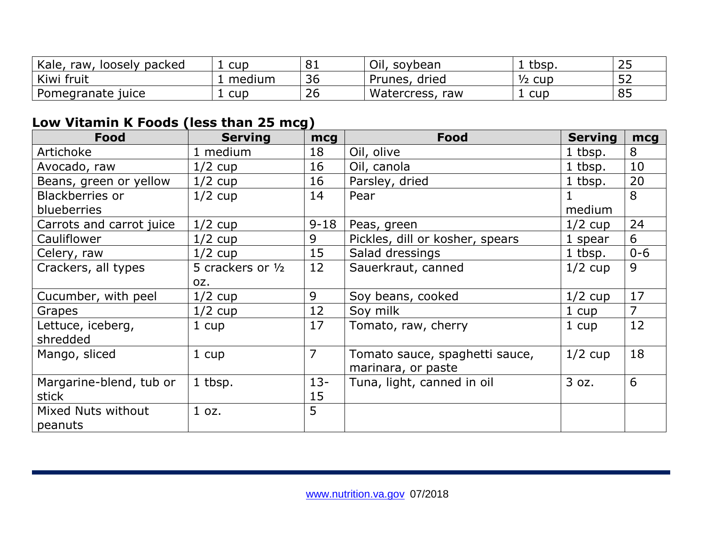| Kale,<br>raw, loosely<br>packed | cup    | 81 | Oil,<br>soybean    | tbsp.             | $\cap$ $\cap$<br>ت ہے |
|---------------------------------|--------|----|--------------------|-------------------|-----------------------|
| Kiwi fruit                      | medium | 36 | Prunes,<br>, dried | $\frac{1}{2}$ cup | --<br>ے ر             |
| Pomegranate<br>juice            | cup    | 26 | Watercress,<br>raw | cup               | 85                    |

# **Low Vitamin K Foods (less than 25 mcg)**

| Food                     | <b>Serving</b>    | mcg            | <b>Food</b>                     | <b>Serving</b> | mcg            |
|--------------------------|-------------------|----------------|---------------------------------|----------------|----------------|
| Artichoke                | 1 medium          | 18             | Oil, olive                      | 1 tbsp.        | 8              |
| Avocado, raw             | $1/2$ cup         | 16             | Oil, canola                     | 1 tbsp.        | 10             |
| Beans, green or yellow   | $1/2$ cup         | 16             | Parsley, dried                  | 1 tbsp.        | 20             |
| <b>Blackberries or</b>   | $1/2$ cup         | 14             | Pear                            | 1              | 8              |
| blueberries              |                   |                |                                 | medium         |                |
| Carrots and carrot juice | $1/2$ cup         | $9 - 18$       | Peas, green                     | $1/2$ cup      | 24             |
| Cauliflower              | $1/2$ cup         | 9              | Pickles, dill or kosher, spears | 1 spear        | 6              |
| Celery, raw              | $1/2$ cup         | 15             | Salad dressings                 | 1 tbsp.        | $0 - 6$        |
| Crackers, all types      | 5 crackers or 1/2 | 12             | Sauerkraut, canned              | $1/2$ cup      | 9              |
|                          | OZ.               |                |                                 |                |                |
| Cucumber, with peel      | $1/2$ cup         | 9              | Soy beans, cooked               | $1/2$ cup      | 17             |
| Grapes                   | $1/2$ cup         | 12             | Soy milk                        | 1 cup          | $\overline{7}$ |
| Lettuce, iceberg,        | 1 cup             | 17             | Tomato, raw, cherry             | 1 cup          | 12             |
| shredded                 |                   |                |                                 |                |                |
| Mango, sliced            | 1 cup             | $\overline{7}$ | Tomato sauce, spaghetti sauce,  | $1/2$ cup      | 18             |
|                          |                   |                | marinara, or paste              |                |                |
| Margarine-blend, tub or  | 1 tbsp.           | $13 -$         | Tuna, light, canned in oil      | 3 oz.          | 6              |
| stick                    |                   | 15             |                                 |                |                |
| Mixed Nuts without       | 1 oz.             | 5              |                                 |                |                |
| peanuts                  |                   |                |                                 |                |                |